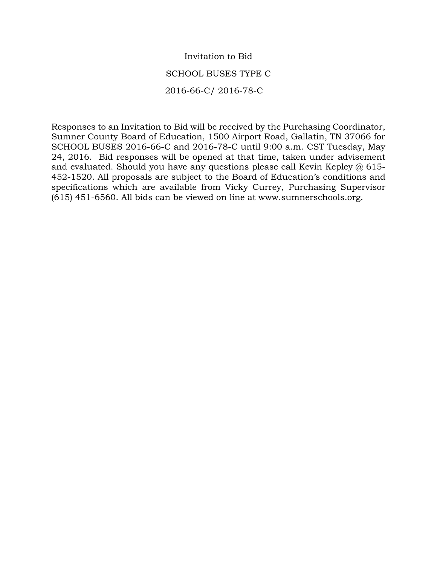## Invitation to Bid SCHOOL BUSES TYPE C 2016-66-C/ 2016-78-C

Responses to an Invitation to Bid will be received by the Purchasing Coordinator, Sumner County Board of Education, 1500 Airport Road, Gallatin, TN 37066 for SCHOOL BUSES 2016-66-C and 2016-78-C until 9:00 a.m. CST Tuesday, May 24, 2016. Bid responses will be opened at that time, taken under advisement and evaluated. Should you have any questions please call Kevin Kepley  $\omega$  615-452-1520. All proposals are subject to the Board of Education's conditions and specifications which are available from Vicky Currey, Purchasing Supervisor (615) 451-6560. All bids can be viewed on line at www.sumnerschools.org.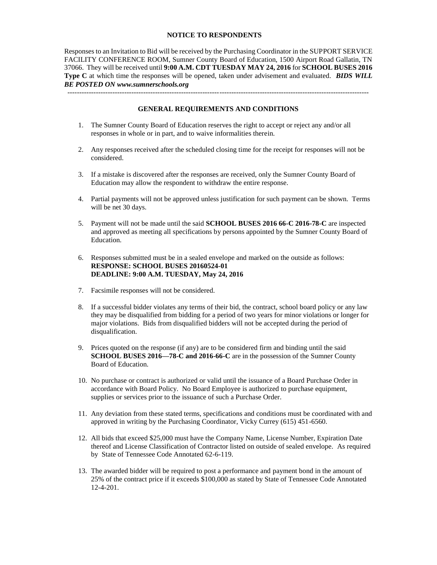## **NOTICE TO RESPONDENTS**

Responses to an Invitation to Bid will be received by the Purchasing Coordinator in the SUPPORT SERVICE FACILITY CONFERENCE ROOM, Sumner County Board of Education, 1500 Airport Road Gallatin, TN 37066. They will be received until **9:00 A.M. CDT TUESDAY MAY 24, 2016** for **SCHOOL BUSES 2016 Type C** at which time the responses will be opened, taken under advisement and evaluated. *BIDS WILL BE POSTED ON www.sumnerschools.org*

**GENERAL REQUIREMENTS AND CONDITIONS**

-------------------------------------------------------------------------------------------------------------------------------

- 1. The Sumner County Board of Education reserves the right to accept or reject any and/or all responses in whole or in part, and to waive informalities therein.
- 2. Any responses received after the scheduled closing time for the receipt for responses will not be considered.
- 3. If a mistake is discovered after the responses are received, only the Sumner County Board of Education may allow the respondent to withdraw the entire response.
- 4. Partial payments will not be approved unless justification for such payment can be shown. Terms will be net 30 days.
- 5. Payment will not be made until the said **SCHOOL BUSES 2016 66-C 2016-78-C** are inspected and approved as meeting all specifications by persons appointed by the Sumner County Board of Education.
- 6. Responses submitted must be in a sealed envelope and marked on the outside as follows: **RESPONSE: SCHOOL BUSES 20160524-01 DEADLINE: 9:00 A.M. TUESDAY, May 24, 2016**
- 7. Facsimile responses will not be considered.
- 8. If a successful bidder violates any terms of their bid, the contract, school board policy or any law they may be disqualified from bidding for a period of two years for minor violations or longer for major violations. Bids from disqualified bidders will not be accepted during the period of disqualification.
- 9. Prices quoted on the response (if any) are to be considered firm and binding until the said **SCHOOL BUSES 2016—78-C and 2016-66-C** are in the possession of the Sumner County Board of Education.
- 10. No purchase or contract is authorized or valid until the issuance of a Board Purchase Order in accordance with Board Policy. No Board Employee is authorized to purchase equipment, supplies or services prior to the issuance of such a Purchase Order.
- 11. Any deviation from these stated terms, specifications and conditions must be coordinated with and approved in writing by the Purchasing Coordinator, Vicky Currey (615) 451-6560.
- 12. All bids that exceed \$25,000 must have the Company Name, License Number, Expiration Date thereof and License Classification of Contractor listed on outside of sealed envelope. As required by State of Tennessee Code Annotated 62-6-119.
- 13. The awarded bidder will be required to post a performance and payment bond in the amount of 25% of the contract price if it exceeds \$100,000 as stated by State of Tennessee Code Annotated 12-4-201.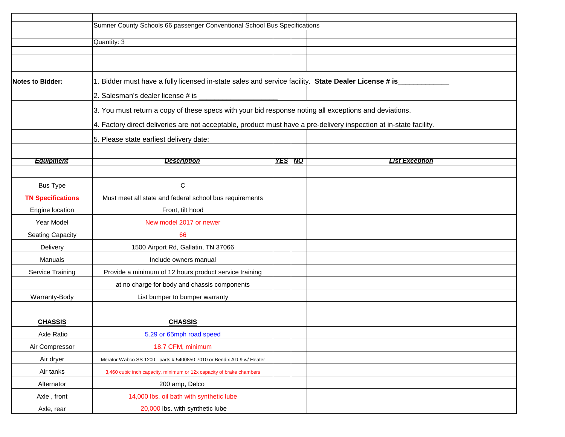|                          | Sumner County Schools 66 passenger Conventional School Bus Specifications                                          |               |                       |  |  |  |  |  |
|--------------------------|--------------------------------------------------------------------------------------------------------------------|---------------|-----------------------|--|--|--|--|--|
|                          | Quantity: 3                                                                                                        |               |                       |  |  |  |  |  |
|                          |                                                                                                                    |               |                       |  |  |  |  |  |
|                          |                                                                                                                    |               |                       |  |  |  |  |  |
| <b>Notes to Bidder:</b>  | 1. Bidder must have a fully licensed in-state sales and service facility. State Dealer License # is                |               |                       |  |  |  |  |  |
|                          |                                                                                                                    |               |                       |  |  |  |  |  |
|                          |                                                                                                                    |               |                       |  |  |  |  |  |
|                          | 3. You must return a copy of these specs with your bid response noting all exceptions and deviations.              |               |                       |  |  |  |  |  |
|                          | 4. Factory direct deliveries are not acceptable, product must have a pre-delivery inspection at in-state facility. |               |                       |  |  |  |  |  |
|                          | 5. Please state earliest delivery date:                                                                            |               |                       |  |  |  |  |  |
|                          |                                                                                                                    |               |                       |  |  |  |  |  |
| <b>Equipment</b>         | <b>Description</b>                                                                                                 | <b>YES NO</b> | <b>List Exception</b> |  |  |  |  |  |
|                          |                                                                                                                    |               |                       |  |  |  |  |  |
| <b>Bus Type</b>          | С                                                                                                                  |               |                       |  |  |  |  |  |
| <b>TN Specifications</b> | Must meet all state and federal school bus requirements                                                            |               |                       |  |  |  |  |  |
| Engine location          | Front, tilt hood                                                                                                   |               |                       |  |  |  |  |  |
| Year Model               | New model 2017 or newer                                                                                            |               |                       |  |  |  |  |  |
| <b>Seating Capacity</b>  | 66                                                                                                                 |               |                       |  |  |  |  |  |
| Delivery                 | 1500 Airport Rd, Gallatin, TN 37066                                                                                |               |                       |  |  |  |  |  |
| Manuals                  | Include owners manual                                                                                              |               |                       |  |  |  |  |  |
| Service Training         | Provide a minimum of 12 hours product service training                                                             |               |                       |  |  |  |  |  |
|                          | at no charge for body and chassis components                                                                       |               |                       |  |  |  |  |  |
| Warranty-Body            | List bumper to bumper warranty                                                                                     |               |                       |  |  |  |  |  |
|                          |                                                                                                                    |               |                       |  |  |  |  |  |
| <b>CHASSIS</b>           | <b>CHASSIS</b>                                                                                                     |               |                       |  |  |  |  |  |
| Axle Ratio               | 5.29 or 65mph road speed                                                                                           |               |                       |  |  |  |  |  |
| Air Compressor           | 18.7 CFM, minimum                                                                                                  |               |                       |  |  |  |  |  |
| Air dryer                | Merator Wabco SS 1200 - parts # 5400850-7010 or Bendix AD-9 w/ Heater                                              |               |                       |  |  |  |  |  |
| Air tanks                | 3,460 cubic inch capacity, minimum or 12x capacity of brake chambers                                               |               |                       |  |  |  |  |  |
| Alternator               | 200 amp, Delco                                                                                                     |               |                       |  |  |  |  |  |
| Axle, front              | 14,000 lbs. oil bath with synthetic lube                                                                           |               |                       |  |  |  |  |  |
| Axle, rear               | 20,000 lbs. with synthetic lube                                                                                    |               |                       |  |  |  |  |  |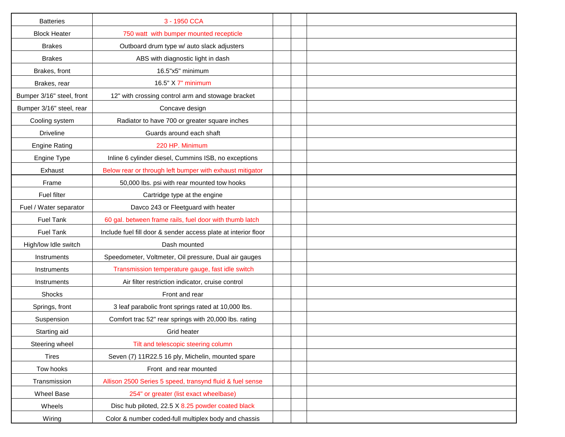| <b>Batteries</b>          | 3 - 1950 CCA                                                   |  |
|---------------------------|----------------------------------------------------------------|--|
| <b>Block Heater</b>       | 750 watt with bumper mounted recepticle                        |  |
| <b>Brakes</b>             | Outboard drum type w/ auto slack adjusters                     |  |
| <b>Brakes</b>             | ABS with diagnostic light in dash                              |  |
| Brakes, front             | 16.5"x5" minimum                                               |  |
| Brakes, rear              | 16.5" X 7" minimum                                             |  |
| Bumper 3/16" steel, front | 12" with crossing control arm and stowage bracket              |  |
| Bumper 3/16" steel, rear  | Concave design                                                 |  |
| Cooling system            | Radiator to have 700 or greater square inches                  |  |
| <b>Driveline</b>          | Guards around each shaft                                       |  |
| <b>Engine Rating</b>      | 220 HP. Minimum                                                |  |
| Engine Type               | Inline 6 cylinder diesel, Cummins ISB, no exceptions           |  |
| Exhaust                   | Below rear or through left bumper with exhaust mitigator       |  |
| Frame                     | 50,000 lbs. psi with rear mounted tow hooks                    |  |
| Fuel filter               | Cartridge type at the engine                                   |  |
| Fuel / Water separator    | Davco 243 or Fleetguard with heater                            |  |
| <b>Fuel Tank</b>          | 60 gal. between frame rails, fuel door with thumb latch        |  |
| <b>Fuel Tank</b>          | Include fuel fill door & sender access plate at interior floor |  |
| High/low Idle switch      | Dash mounted                                                   |  |
| Instruments               | Speedometer, Voltmeter, Oil pressure, Dual air gauges          |  |
| Instruments               | Transmission temperature gauge, fast idle switch               |  |
| Instruments               | Air filter restriction indicator, cruise control               |  |
| Shocks                    | Front and rear                                                 |  |
| Springs, front            | 3 leaf parabolic front springs rated at 10,000 lbs.            |  |
| Suspension                | Comfort trac 52" rear springs with 20,000 lbs. rating          |  |
| Starting aid              | Grid heater                                                    |  |
| Steering wheel            | Tilt and telescopic steering column                            |  |
| <b>Tires</b>              | Seven (7) 11R22.5 16 ply, Michelin, mounted spare              |  |
| Tow hooks                 | Front and rear mounted                                         |  |
| Transmission              | Allison 2500 Series 5 speed, transynd fluid & fuel sense       |  |
| <b>Wheel Base</b>         | 254" or greater (list exact wheelbase)                         |  |
| Wheels                    | Disc hub piloted, 22.5 X 8.25 powder coated black              |  |
| Wiring                    | Color & number coded-full multiplex body and chassis           |  |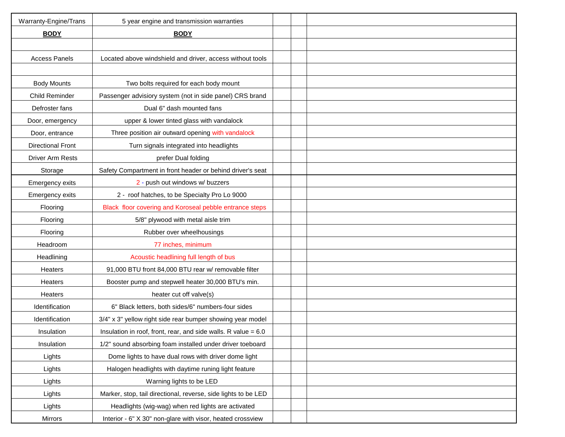| Warranty-Engine/Trans    | 5 year engine and transmission warranties                        |  |  |
|--------------------------|------------------------------------------------------------------|--|--|
| <b>BODY</b>              | <b>BODY</b>                                                      |  |  |
|                          |                                                                  |  |  |
| <b>Access Panels</b>     | Located above windshield and driver, access without tools        |  |  |
|                          |                                                                  |  |  |
| <b>Body Mounts</b>       | Two bolts required for each body mount                           |  |  |
| Child Reminder           | Passenger advisiory system (not in side panel) CRS brand         |  |  |
| Defroster fans           | Dual 6" dash mounted fans                                        |  |  |
| Door, emergency          | upper & lower tinted glass with vandalock                        |  |  |
| Door, entrance           | Three position air outward opening with vandalock                |  |  |
| <b>Directional Front</b> | Turn signals integrated into headlights                          |  |  |
| <b>Driver Arm Rests</b>  | prefer Dual folding                                              |  |  |
| Storage                  | Safety Compartment in front header or behind driver's seat       |  |  |
| Emergency exits          | 2 - push out windows w/ buzzers                                  |  |  |
| Emergency exits          | 2 - roof hatches, to be Specialty Pro Lo 9000                    |  |  |
| Flooring                 | Black floor covering and Koroseal pebble entrance steps          |  |  |
| Flooring                 | 5/8" plywood with metal aisle trim                               |  |  |
| Flooring                 | Rubber over wheelhousings                                        |  |  |
| Headroom                 | 77 inches, minimum                                               |  |  |
| Headlining               | Acoustic headlining full length of bus                           |  |  |
| Heaters                  | 91,000 BTU front 84,000 BTU rear w/ removable filter             |  |  |
| Heaters                  | Booster pump and stepwell heater 30,000 BTU's min.               |  |  |
| Heaters                  | heater cut off valve(s)                                          |  |  |
| Identification           | 6" Black letters, both sides/6" numbers-four sides               |  |  |
| Identification           | 3/4" x 3" yellow right side rear bumper showing year model       |  |  |
| Insulation               | Insulation in roof, front, rear, and side walls. R value $= 6.0$ |  |  |
| Insulation               | 1/2" sound absorbing foam installed under driver toeboard        |  |  |
| Lights                   | Dome lights to have dual rows with driver dome light             |  |  |
| Lights                   | Halogen headlights with daytime runing light feature             |  |  |
| Lights                   | Warning lights to be LED                                         |  |  |
| Lights                   | Marker, stop, tail directional, reverse, side lights to be LED   |  |  |
| Lights                   | Headlights (wig-wag) when red lights are activated               |  |  |
| Mirrors                  | Interior - 6" X 30" non-glare with visor, heated crossview       |  |  |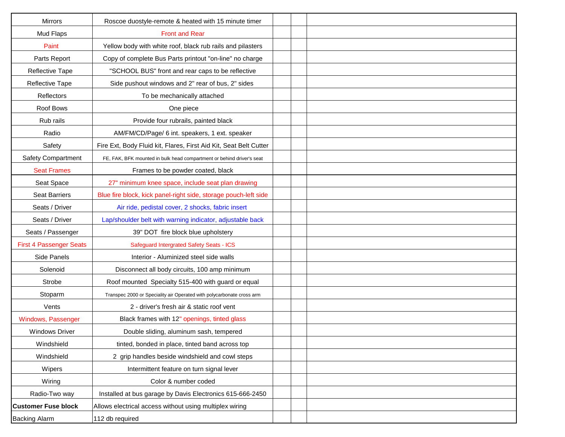| <b>Mirrors</b>                 | Roscoe duostyle-remote & heated with 15 minute timer                  |  |
|--------------------------------|-----------------------------------------------------------------------|--|
| Mud Flaps                      | <b>Front and Rear</b>                                                 |  |
| Paint                          | Yellow body with white roof, black rub rails and pilasters            |  |
| Parts Report                   | Copy of complete Bus Parts printout "on-line" no charge               |  |
| Reflective Tape                | "SCHOOL BUS" front and rear caps to be reflective                     |  |
| Reflective Tape                | Side pushout windows and 2" rear of bus, 2" sides                     |  |
| Reflectors                     | To be mechanically attached                                           |  |
| Roof Bows                      | One piece                                                             |  |
| Rub rails                      | Provide four rubrails, painted black                                  |  |
| Radio                          | AM/FM/CD/Page/ 6 int. speakers, 1 ext. speaker                        |  |
| Safety                         | Fire Ext, Body Fluid kit, Flares, First Aid Kit, Seat Belt Cutter     |  |
| Safety Compartment             | FE, FAK, BFK mounted in bulk head compartment or behind driver's seat |  |
| <b>Seat Frames</b>             | Frames to be powder coated, black                                     |  |
| Seat Space                     | 27" minimum knee space, include seat plan drawing                     |  |
| <b>Seat Barriers</b>           | Blue fire block, kick panel-right side, storage pouch-left side       |  |
| Seats / Driver                 | Air ride, pedistal cover, 2 shocks, fabric insert                     |  |
| Seats / Driver                 | Lap/shoulder belt with warning indicator, adjustable back             |  |
| Seats / Passenger              | 39" DOT fire block blue upholstery                                    |  |
| <b>First 4 Passenger Seats</b> | <b>Safeguard Intergrated Safety Seats - ICS</b>                       |  |
| Side Panels                    | Interior - Aluminized steel side walls                                |  |
| Solenoid                       | Disconnect all body circuits, 100 amp minimum                         |  |
| Strobe                         | Roof mounted Specialty 515-400 with guard or equal                    |  |
| Stoparm                        | Transpec 2000 or Speciality air Operated with polycarbonate cross arm |  |
| Vents                          | 2 - driver's fresh air & static roof vent                             |  |
| Windows, Passenger             | Black frames with 12" openings, tinted glass                          |  |
| <b>Windows Driver</b>          | Double sliding, aluminum sash, tempered                               |  |
| Windshield                     | tinted, bonded in place, tinted band across top                       |  |
| Windshield                     | 2 grip handles beside windshield and cowl steps                       |  |
| Wipers                         | Intermittent feature on turn signal lever                             |  |
| Wiring                         | Color & number coded                                                  |  |
| Radio-Two way                  | Installed at bus garage by Davis Electronics 615-666-2450             |  |
| <b>Customer Fuse block</b>     | Allows electrical access without using multiplex wiring               |  |
| <b>Backing Alarm</b>           | 112 db required                                                       |  |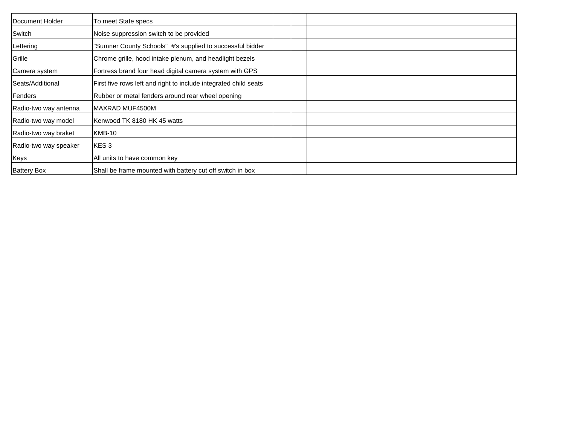| Document Holder       | To meet State specs                                              |
|-----------------------|------------------------------------------------------------------|
| Switch                | Noise suppression switch to be provided                          |
| Lettering             | "Sumner County Schools" #'s supplied to successful bidder        |
| Grille                | Chrome grille, hood intake plenum, and headlight bezels          |
| Camera system         | Fortress brand four head digital camera system with GPS          |
| Seats/Additional      | First five rows left and right to include integrated child seats |
| Fenders               | Rubber or metal fenders around rear wheel opening                |
| Radio-two way antenna | IMAXRAD MUF4500M                                                 |
| Radio-two way model   | Kenwood TK 8180 HK 45 watts                                      |
| Radio-two way braket  | KMB-10                                                           |
| Radio-two way speaker | KES3                                                             |
| Keys                  | All units to have common key                                     |
| <b>Battery Box</b>    | Shall be frame mounted with battery cut off switch in box        |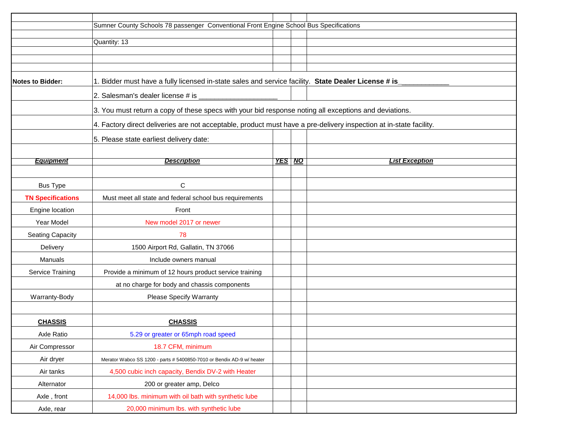|                          | Sumner County Schools 78 passenger Conventional Front Engine School Bus Specifications                             |        |  |                       |  |  |  |  |
|--------------------------|--------------------------------------------------------------------------------------------------------------------|--------|--|-----------------------|--|--|--|--|
|                          | Quantity: 13                                                                                                       |        |  |                       |  |  |  |  |
|                          |                                                                                                                    |        |  |                       |  |  |  |  |
|                          |                                                                                                                    |        |  |                       |  |  |  |  |
| <b>Notes to Bidder:</b>  | 1. Bidder must have a fully licensed in-state sales and service facility. State Dealer License # is                |        |  |                       |  |  |  |  |
|                          |                                                                                                                    |        |  |                       |  |  |  |  |
|                          |                                                                                                                    |        |  |                       |  |  |  |  |
|                          | 3. You must return a copy of these specs with your bid response noting all exceptions and deviations.              |        |  |                       |  |  |  |  |
|                          | 4. Factory direct deliveries are not acceptable, product must have a pre-delivery inspection at in-state facility. |        |  |                       |  |  |  |  |
|                          | 5. Please state earliest delivery date:                                                                            |        |  |                       |  |  |  |  |
|                          |                                                                                                                    |        |  |                       |  |  |  |  |
| <b>Equipment</b>         | <b>Description</b>                                                                                                 | YES NO |  | <b>List Exception</b> |  |  |  |  |
|                          |                                                                                                                    |        |  |                       |  |  |  |  |
| <b>Bus Type</b>          | С                                                                                                                  |        |  |                       |  |  |  |  |
| <b>TN Specifications</b> | Must meet all state and federal school bus requirements                                                            |        |  |                       |  |  |  |  |
| Engine location          | Front                                                                                                              |        |  |                       |  |  |  |  |
| Year Model               | New model 2017 or newer                                                                                            |        |  |                       |  |  |  |  |
| <b>Seating Capacity</b>  | 78                                                                                                                 |        |  |                       |  |  |  |  |
| Delivery                 | 1500 Airport Rd, Gallatin, TN 37066                                                                                |        |  |                       |  |  |  |  |
| Manuals                  | Include owners manual                                                                                              |        |  |                       |  |  |  |  |
| Service Training         | Provide a minimum of 12 hours product service training                                                             |        |  |                       |  |  |  |  |
|                          | at no charge for body and chassis components                                                                       |        |  |                       |  |  |  |  |
| Warranty-Body            | Please Specify Warranty                                                                                            |        |  |                       |  |  |  |  |
|                          |                                                                                                                    |        |  |                       |  |  |  |  |
| <b>CHASSIS</b>           | <b>CHASSIS</b>                                                                                                     |        |  |                       |  |  |  |  |
| Axle Ratio               | 5.29 or greater or 65mph road speed                                                                                |        |  |                       |  |  |  |  |
| Air Compressor           | 18.7 CFM, minimum                                                                                                  |        |  |                       |  |  |  |  |
| Air dryer                | Merator Wabco SS 1200 - parts # 5400850-7010 or Bendix AD-9 w/ heater                                              |        |  |                       |  |  |  |  |
| Air tanks                | 4,500 cubic inch capacity, Bendix DV-2 with Heater                                                                 |        |  |                       |  |  |  |  |
| Alternator               | 200 or greater amp, Delco                                                                                          |        |  |                       |  |  |  |  |
| Axle, front              | 14,000 lbs. minimum with oil bath with synthetic lube                                                              |        |  |                       |  |  |  |  |
| Axle, rear               | 20,000 minimum lbs. with synthetic lube                                                                            |        |  |                       |  |  |  |  |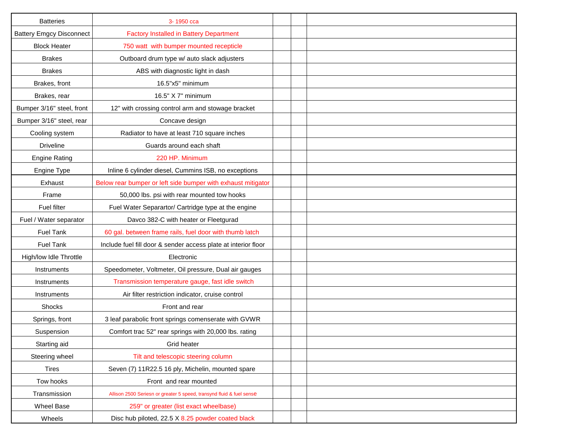| <b>Batteries</b>                | 3-1950 cca                                                           |  |  |
|---------------------------------|----------------------------------------------------------------------|--|--|
| <b>Battery Emgcy Disconnect</b> | <b>Factory Installed in Battery Department</b>                       |  |  |
| <b>Block Heater</b>             | 750 watt with bumper mounted recepticle                              |  |  |
| <b>Brakes</b>                   | Outboard drum type w/ auto slack adjusters                           |  |  |
| <b>Brakes</b>                   | ABS with diagnostic light in dash                                    |  |  |
| Brakes, front                   | 16.5"x5" minimum                                                     |  |  |
| Brakes, rear                    | 16.5" X 7" minimum                                                   |  |  |
| Bumper 3/16" steel, front       | 12" with crossing control arm and stowage bracket                    |  |  |
| Bumper 3/16" steel, rear        | Concave design                                                       |  |  |
| Cooling system                  | Radiator to have at least 710 square inches                          |  |  |
| <b>Driveline</b>                | Guards around each shaft                                             |  |  |
| <b>Engine Rating</b>            | 220 HP. Minimum                                                      |  |  |
| Engine Type                     | Inline 6 cylinder diesel, Cummins ISB, no exceptions                 |  |  |
| Exhaust                         | Below rear bumper or left side bumper with exhaust mitigator         |  |  |
| Frame                           | 50,000 lbs. psi with rear mounted tow hooks                          |  |  |
| Fuel filter                     | Fuel Water Separartor/ Cartridge type at the engine                  |  |  |
| Fuel / Water separator          | Davco 382-C with heater or Fleetgurad                                |  |  |
| <b>Fuel Tank</b>                | 60 gal. between frame rails, fuel door with thumb latch              |  |  |
| <b>Fuel Tank</b>                | Include fuel fill door & sender access plate at interior floor       |  |  |
| High/low Idle Throttle          | Electronic                                                           |  |  |
| Instruments                     | Speedometer, Voltmeter, Oil pressure, Dual air gauges                |  |  |
| Instruments                     | Transmission temperature gauge, fast idle switch                     |  |  |
| Instruments                     | Air filter restriction indicator, cruise control                     |  |  |
| Shocks                          | Front and rear                                                       |  |  |
| Springs, front                  | 3 leaf parabolic front springs comenserate with GVWR                 |  |  |
| Suspension                      | Comfort trac 52" rear springs with 20,000 lbs. rating                |  |  |
| Starting aid                    | Grid heater                                                          |  |  |
| Steering wheel                  | Tilt and telescopic steering column                                  |  |  |
| Tires                           | Seven (7) 11R22.5 16 ply, Michelin, mounted spare                    |  |  |
| Tow hooks                       | Front and rear mounted                                               |  |  |
| Transmission                    | Allison 2500 Seriesn or greater 5 speed, transynd fluid & fuel sense |  |  |
| Wheel Base                      | 259" or greater (list exact wheelbase)                               |  |  |
| Wheels                          | Disc hub piloted, 22.5 X 8.25 powder coated black                    |  |  |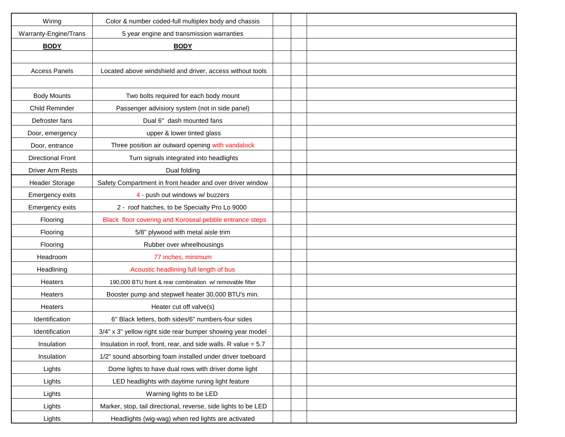| Wiring                   | Color & number coded-full multiplex body and chassis             |  |  |
|--------------------------|------------------------------------------------------------------|--|--|
| Warranty-Engine/Trans    | 5 year engine and transmission warranties                        |  |  |
| <b>BODY</b>              | <b>BODY</b>                                                      |  |  |
|                          |                                                                  |  |  |
| <b>Access Panels</b>     | Located above windshield and driver, access without tools        |  |  |
|                          |                                                                  |  |  |
| <b>Body Mounts</b>       | Two bolts required for each body mount                           |  |  |
| Child Reminder           | Passenger advisiory system (not in side panel)                   |  |  |
| Defroster fans           | Dual 6" dash mounted fans                                        |  |  |
| Door, emergency          | upper & lower tinted glass                                       |  |  |
| Door, entrance           | Three position air outward opening with vandalock                |  |  |
| <b>Directional Front</b> | Turn signals integrated into headlights                          |  |  |
| <b>Driver Arm Rests</b>  | Dual folding                                                     |  |  |
| <b>Header Storage</b>    | Safety Compartment in front header and over driver window        |  |  |
| Emergency exits          | 4 - push out windows w/ buzzers                                  |  |  |
| Emergency exits          | 2 - roof hatches, to be Specialty Pro Lo 9000                    |  |  |
| Flooring                 | Black floor covering and Koroseal pebble entrance steps          |  |  |
| Flooring                 | 5/8" plywood with metal aisle trim                               |  |  |
| Flooring                 | Rubber over wheelhousings                                        |  |  |
| Headroom                 | 77 inches, minimum                                               |  |  |
| Headlining               | Acoustic headlining full length of bus                           |  |  |
| Heaters                  | 190,000 BTU front & rear combination w/ removable filter         |  |  |
| Heaters                  | Booster pump and stepwell heater 30,000 BTU's min.               |  |  |
| Heaters                  | Heater cut off valve(s)                                          |  |  |
| Identification           | 6" Black letters, both sides/6" numbers-four sides               |  |  |
| Identification           | 3/4" x 3" yellow right side rear bumper showing year model       |  |  |
| Insulation               | Insulation in roof, front, rear, and side walls. R value $= 5.7$ |  |  |
| Insulation               | 1/2" sound absorbing foam installed under driver toeboard        |  |  |
| Lights                   | Dome lights to have dual rows with driver dome light             |  |  |
| Lights                   | LED headlights with daytime runing light feature                 |  |  |
| Lights                   | Warning lights to be LED                                         |  |  |
| Lights                   | Marker, stop, tail directional, reverse, side lights to be LED   |  |  |
| Lights                   | Headlights (wig-wag) when red lights are activated               |  |  |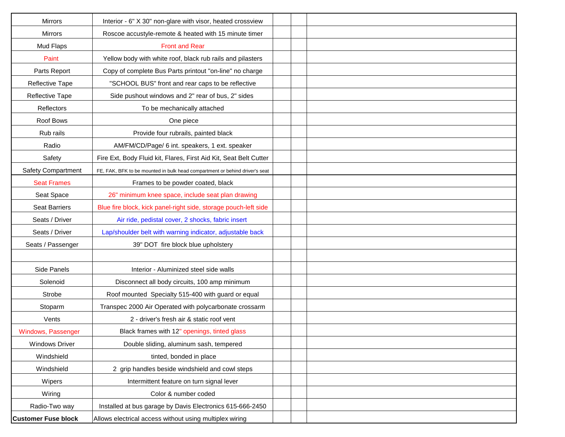| <b>Mirrors</b>             | Interior - 6" X 30" non-glare with visor, heated crossview                  |  |
|----------------------------|-----------------------------------------------------------------------------|--|
| <b>Mirrors</b>             | Roscoe accustyle-remote & heated with 15 minute timer                       |  |
| Mud Flaps                  | <b>Front and Rear</b>                                                       |  |
| Paint                      | Yellow body with white roof, black rub rails and pilasters                  |  |
| Parts Report               | Copy of complete Bus Parts printout "on-line" no charge                     |  |
| Reflective Tape            | "SCHOOL BUS" front and rear caps to be reflective                           |  |
| Reflective Tape            | Side pushout windows and 2" rear of bus, 2" sides                           |  |
| Reflectors                 | To be mechanically attached                                                 |  |
| Roof Bows                  | One piece                                                                   |  |
| Rub rails                  | Provide four rubrails, painted black                                        |  |
| Radio                      | AM/FM/CD/Page/ 6 int. speakers, 1 ext. speaker                              |  |
| Safety                     | Fire Ext, Body Fluid kit, Flares, First Aid Kit, Seat Belt Cutter           |  |
| <b>Safety Compartment</b>  | FE, FAK, BFK to be mounted in bulk head compartment or behind driver's seat |  |
| <b>Seat Frames</b>         | Frames to be powder coated, black                                           |  |
| Seat Space                 | 26" minimum knee space, include seat plan drawing                           |  |
| <b>Seat Barriers</b>       | Blue fire block, kick panel-right side, storage pouch-left side             |  |
| Seats / Driver             | Air ride, pedistal cover, 2 shocks, fabric insert                           |  |
| Seats / Driver             | Lap/shoulder belt with warning indicator, adjustable back                   |  |
| Seats / Passenger          | 39" DOT fire block blue upholstery                                          |  |
|                            |                                                                             |  |
| Side Panels                | Interior - Aluminized steel side walls                                      |  |
| Solenoid                   | Disconnect all body circuits, 100 amp minimum                               |  |
| Strobe                     | Roof mounted Specialty 515-400 with guard or equal                          |  |
| Stoparm                    | Transpec 2000 Air Operated with polycarbonate crossarm                      |  |
| Vents                      | 2 - driver's fresh air & static roof vent                                   |  |
| Windows, Passenger         | Black frames with 12" openings, tinted glass                                |  |
| <b>Windows Driver</b>      | Double sliding, aluminum sash, tempered                                     |  |
| Windshield                 | tinted, bonded in place                                                     |  |
| Windshield                 | 2 grip handles beside windshield and cowl steps                             |  |
| Wipers                     | Intermittent feature on turn signal lever                                   |  |
| Wiring                     | Color & number coded                                                        |  |
| Radio-Two way              | Installed at bus garage by Davis Electronics 615-666-2450                   |  |
| <b>Customer Fuse block</b> | Allows electrical access without using multiplex wiring                     |  |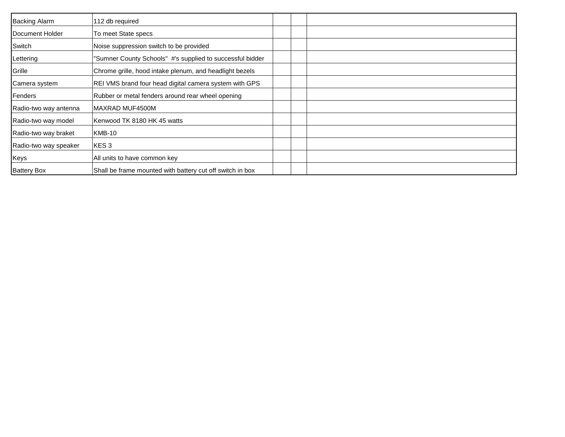| <b>Backing Alarm</b>  | 112 db required                                           |
|-----------------------|-----------------------------------------------------------|
| Document Holder       | To meet State specs                                       |
| Switch                | Noise suppression switch to be provided                   |
| Lettering             | "Sumner County Schools" #'s supplied to successful bidder |
| Grille                | Chrome grille, hood intake plenum, and headlight bezels   |
| Camera system         | REI VMS brand four head digital camera system with GPS    |
| Fenders               | Rubber or metal fenders around rear wheel opening         |
| Radio-two way antenna | IMAXRAD MUF4500M                                          |
| Radio-two way model   | Kenwood TK 8180 HK 45 watts                               |
| Radio-two way braket  | KMB-10                                                    |
| Radio-two way speaker | KES3                                                      |
| Keys                  | All units to have common key                              |
| <b>Battery Box</b>    | Shall be frame mounted with battery cut off switch in box |